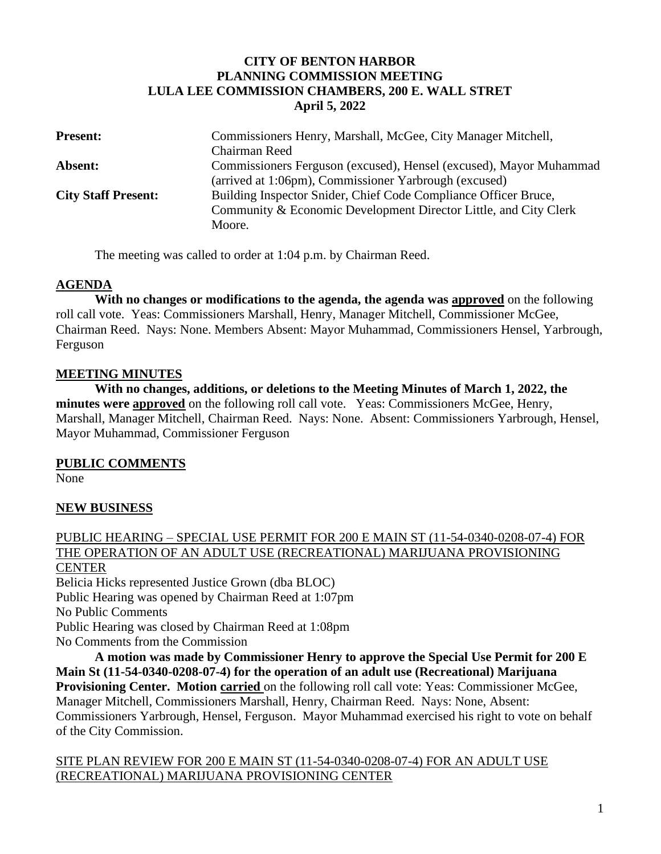## **CITY OF BENTON HARBOR PLANNING COMMISSION MEETING LULA LEE COMMISSION CHAMBERS, 200 E. WALL STRET April 5, 2022**

| <b>Present:</b>            | Commissioners Henry, Marshall, McGee, City Manager Mitchell,<br>Chairman Reed |
|----------------------------|-------------------------------------------------------------------------------|
| Absent:                    | Commissioners Ferguson (excused), Hensel (excused), Mayor Muhammad            |
|                            | (arrived at 1:06pm), Commissioner Yarbrough (excused)                         |
| <b>City Staff Present:</b> | Building Inspector Snider, Chief Code Compliance Officer Bruce,               |
|                            | Community & Economic Development Director Little, and City Clerk              |
|                            | Moore.                                                                        |

The meeting was called to order at 1:04 p.m. by Chairman Reed.

#### **AGENDA**

**With no changes or modifications to the agenda, the agenda was approved** on the following roll call vote. Yeas: Commissioners Marshall, Henry, Manager Mitchell, Commissioner McGee, Chairman Reed. Nays: None. Members Absent: Mayor Muhammad, Commissioners Hensel, Yarbrough, Ferguson

#### **MEETING MINUTES**

**With no changes, additions, or deletions to the Meeting Minutes of March 1, 2022, the minutes were approved** on the following roll call vote. Yeas: Commissioners McGee, Henry, Marshall, Manager Mitchell, Chairman Reed. Nays: None. Absent: Commissioners Yarbrough, Hensel, Mayor Muhammad, Commissioner Ferguson

## **PUBLIC COMMENTS**

None

## **NEW BUSINESS**

#### PUBLIC HEARING – SPECIAL USE PERMIT FOR 200 E MAIN ST (11-54-0340-0208-07-4) FOR THE OPERATION OF AN ADULT USE (RECREATIONAL) MARIJUANA PROVISIONING CENTER Belicia Hicks represented Justice Grown (dba BLOC)

Public Hearing was opened by Chairman Reed at 1:07pm No Public Comments Public Hearing was closed by Chairman Reed at 1:08pm No Comments from the Commission

**A motion was made by Commissioner Henry to approve the Special Use Permit for 200 E Main St (11-54-0340-0208-07-4) for the operation of an adult use (Recreational) Marijuana Provisioning Center. Motion carried** on the following roll call vote: Yeas: Commissioner McGee, Manager Mitchell, Commissioners Marshall, Henry, Chairman Reed. Nays: None, Absent: Commissioners Yarbrough, Hensel, Ferguson. Mayor Muhammad exercised his right to vote on behalf of the City Commission.

SITE PLAN REVIEW FOR 200 E MAIN ST (11-54-0340-0208-07-4) FOR AN ADULT USE (RECREATIONAL) MARIJUANA PROVISIONING CENTER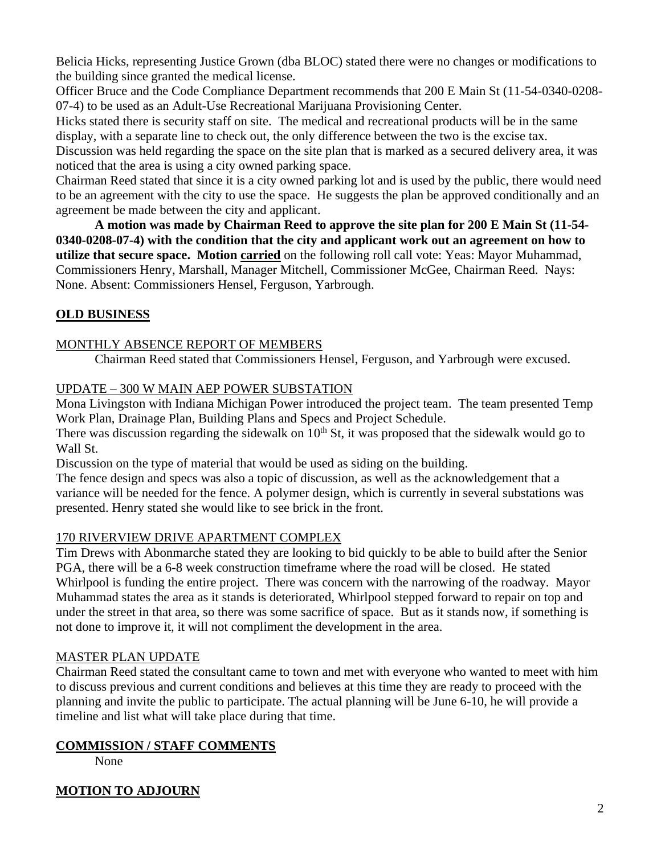Belicia Hicks, representing Justice Grown (dba BLOC) stated there were no changes or modifications to the building since granted the medical license.

Officer Bruce and the Code Compliance Department recommends that 200 E Main St (11-54-0340-0208- 07-4) to be used as an Adult-Use Recreational Marijuana Provisioning Center.

Hicks stated there is security staff on site. The medical and recreational products will be in the same display, with a separate line to check out, the only difference between the two is the excise tax.

Discussion was held regarding the space on the site plan that is marked as a secured delivery area, it was noticed that the area is using a city owned parking space.

Chairman Reed stated that since it is a city owned parking lot and is used by the public, there would need to be an agreement with the city to use the space. He suggests the plan be approved conditionally and an agreement be made between the city and applicant.

**A motion was made by Chairman Reed to approve the site plan for 200 E Main St (11-54- 0340-0208-07-4) with the condition that the city and applicant work out an agreement on how to utilize that secure space. Motion carried** on the following roll call vote: Yeas: Mayor Muhammad, Commissioners Henry, Marshall, Manager Mitchell, Commissioner McGee, Chairman Reed. Nays: None. Absent: Commissioners Hensel, Ferguson, Yarbrough.

# **OLD BUSINESS**

## MONTHLY ABSENCE REPORT OF MEMBERS

Chairman Reed stated that Commissioners Hensel, Ferguson, and Yarbrough were excused.

## UPDATE – 300 W MAIN AEP POWER SUBSTATION

Mona Livingston with Indiana Michigan Power introduced the project team. The team presented Temp Work Plan, Drainage Plan, Building Plans and Specs and Project Schedule.

There was discussion regarding the sidewalk on  $10<sup>th</sup>$  St, it was proposed that the sidewalk would go to Wall St.

Discussion on the type of material that would be used as siding on the building.

The fence design and specs was also a topic of discussion, as well as the acknowledgement that a variance will be needed for the fence. A polymer design, which is currently in several substations was presented. Henry stated she would like to see brick in the front.

## 170 RIVERVIEW DRIVE APARTMENT COMPLEX

Tim Drews with Abonmarche stated they are looking to bid quickly to be able to build after the Senior PGA, there will be a 6-8 week construction timeframe where the road will be closed. He stated Whirlpool is funding the entire project. There was concern with the narrowing of the roadway. Mayor Muhammad states the area as it stands is deteriorated, Whirlpool stepped forward to repair on top and under the street in that area, so there was some sacrifice of space. But as it stands now, if something is not done to improve it, it will not compliment the development in the area.

## MASTER PLAN UPDATE

Chairman Reed stated the consultant came to town and met with everyone who wanted to meet with him to discuss previous and current conditions and believes at this time they are ready to proceed with the planning and invite the public to participate. The actual planning will be June 6-10, he will provide a timeline and list what will take place during that time.

# **COMMISSION / STAFF COMMENTS**

None

# **MOTION TO ADJOURN**